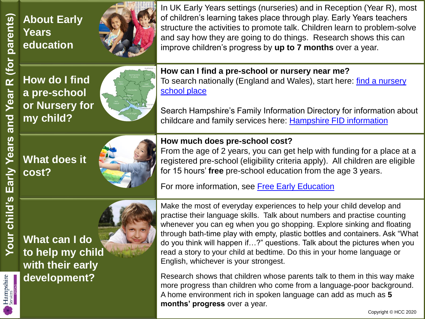Hampshire<br>Services

**About Early Years education**



In UK Early Years settings (nurseries) and in Reception (Year R), most of children's learning takes place through play. Early Years teachers structure the activities to promote talk. Children learn to problem-solve and say how they are going to do things. Research shows this can improve children's progress by **up to 7 months** over a year.

**How do I find a pre-school or Nursery for my child?**



**How can I find a pre-school or nursery near me?** [To search nationally \(England and Wales\), start here: find a nursery](https://www.gov.uk/find-nursery-school-place) school place

Search Hampshire's Family Information Directory for information about childcare and family services here: [Hampshire FID information](https://fish.hants.gov.uk/kb5/hampshire/directory/family.page?familychannel=1)

## **How much does pre-school cost?**

**What does it cost?**



From the age of 2 years, you can get help with funding for a place at a

registered pre-school (eligibility criteria apply). All children are eligible for 15 hours' **free** pre-school education from the age 3 years.

For more information, see [Free Early Education](https://www.hants.gov.uk/socialcareandhealth/childrenandfamilies/childcare/payingforchildcare/freechildcare)

**What can I do to help my child with their early development?**



Research shows that children whose parents talk to them in this way make more progress than children who come from a language-poor background. A home environment rich in spoken language can add as much as **5 months' progress** over a year.